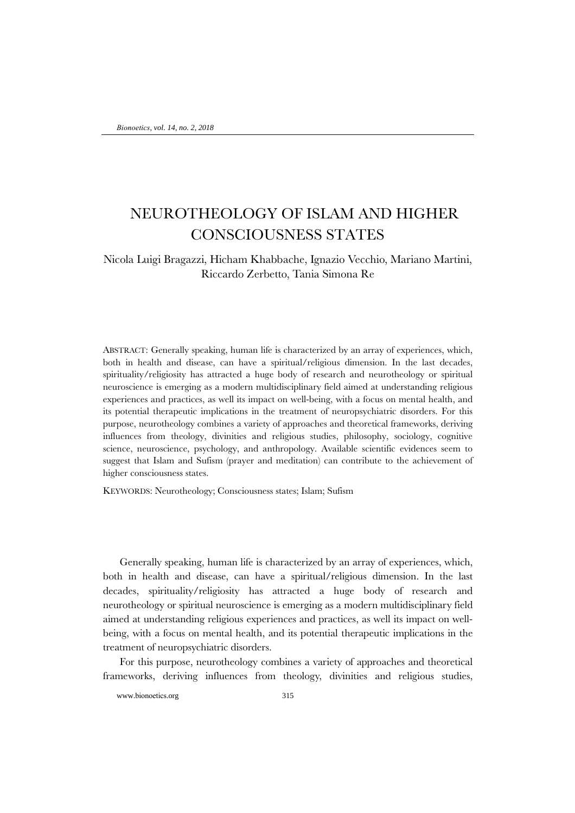## NEUROTHEOLOGY OF ISLAM AND HIGHER CONSCIOUSNESS STATES

## Nicola Luigi Bragazzi, Hicham Khabbache, Ignazio Vecchio, Mariano Martini, Riccardo Zerbetto, Tania Simona Re

ABSTRACT: Generally speaking, human life is characterized by an array of experiences, which, both in health and disease, can have a spiritual/religious dimension. In the last decades, spirituality/religiosity has attracted a huge body of research and neurotheology or spiritual neuroscience is emerging as a modern multidisciplinary field aimed at understanding religious experiences and practices, as well its impact on well-being, with a focus on mental health, and its potential therapeutic implications in the treatment of neuropsychiatric disorders. For this purpose, neurotheology combines a variety of approaches and theoretical frameworks, deriving influences from theology, divinities and religious studies, philosophy, sociology, cognitive science, neuroscience, psychology, and anthropology. Available scientific evidences seem to suggest that Islam and Sufism (prayer and meditation) can contribute to the achievement of higher consciousness states.

KEYWORDS: Neurotheology; Consciousness states; Islam; Sufism

Generally speaking, human life is characterized by an array of experiences, which, both in health and disease, can have a spiritual/religious dimension. In the last decades, spirituality/religiosity has attracted a huge body of research and neurotheology or spiritual neuroscience is emerging as a modern multidisciplinary field aimed at understanding religious experiences and practices, as well its impact on wellbeing, with a focus on mental health, and its potential therapeutic implications in the treatment of neuropsychiatric disorders.

For this purpose, neurotheology combines a variety of approaches and theoretical frameworks, deriving influences from theology, divinities and religious studies,

www.bionoetics.org 315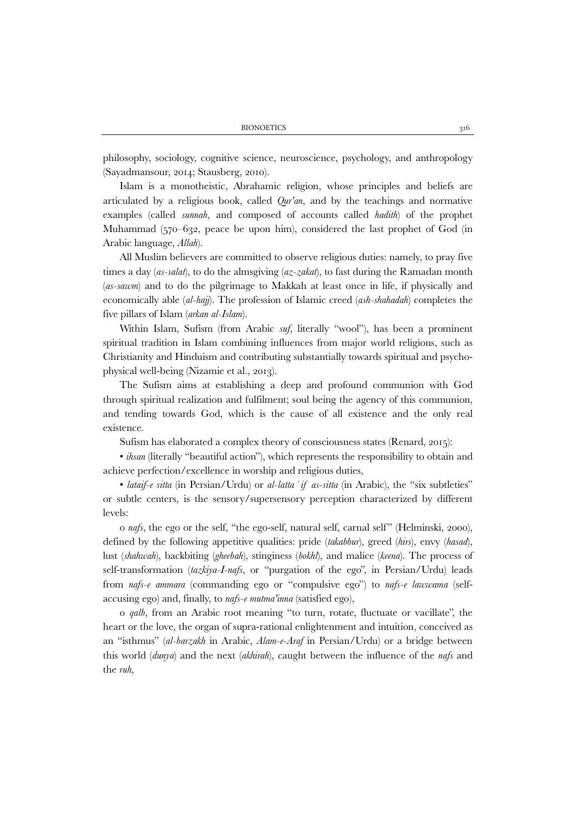philosophy, sociology, cognitive science, neuroscience, psychology, and anthropology (Sayadmansour, 2014; Stausberg, 2010).

Islam is a monotheistic, Abrahamic religion, whose principles and beliefs are articulated by a religious book, called *Qur'an*, and by the teachings and normative examples (called *sunnah*, and composed of accounts called *hadith*) of the prophet Muhammad (570–632, peace be upon him), considered the last prophet of God (in Arabic language, *Allah*).

All Muslim believers are committed to observe religious duties: namely, to pray five times a day (*as-salat*), to do the almsgiving (*az-zakat*), to fast during the Ramadan month (*as-sawm*) and to do the pilgrimage to Makkah at least once in life, if physically and economically able (*al-hajj*). The profession of Islamic creed (*ash-shahadah*) completes the five pillars of Islam (*arkan al-Islam*).

Within Islam, Sufism (from Arabic *suf*, literally "wool"), has been a prominent spiritual tradition in Islam combining influences from major world religions, such as Christianity and Hinduism and contributing substantially towards spiritual and psychophysical well-being (Nizamie et al., 2013).

The Sufism aims at establishing a deep and profound communion with God through spiritual realization and fulfilment; soul being the agency of this communion, and tending towards God, which is the cause of all existence and the only real existence.

Sufism has elaborated a complex theory of consciousness states (Renard, 2015):

• *ihsan* (literally "beautiful action"), which represents the responsibility to obtain and achieve perfection/excellence in worship and religious duties,

• *lataif-e sitta* (in Persian/Urdu) or *al-lattaʾif as-sitta* (in Arabic), the "six subtleties" or subtle centers, is the sensory/supersensory perception characterized by different levels:

o *nafs*, the ego or the self, "the ego-self, natural self, carnal self" (Helminski, 2000), defined by the following appetitive qualities: pride (*takabbur*), greed (*hirs*), envy (*hasad*), lust (*shahwah*), backbiting (*gheebah*), stinginess (*bokhl*), and malice (*keena*). The process of self-transformation (*tazkiya-I-nafs*, or "purgation of the ego", in Persian/Urdu) leads from *nafs-e ammara* (commanding ego or "compulsive ego") to *nafs-e lawwama* (selfaccusing ego) and, finally, to *nafs-e mutma'inna* (satisfied ego),

o *qalb*, from an Arabic root meaning "to turn, rotate, fluctuate or vacillate", the heart or the love, the organ of supra-rational enlightenment and intuition, conceived as an "isthmus" (*al-barzakh* in Arabic, *Alam-e-Araf* in Persian/Urdu) or a bridge between this world (*dunya*) and the next (*akhirah*), caught between the influence of the *nafs* and the *ruh*,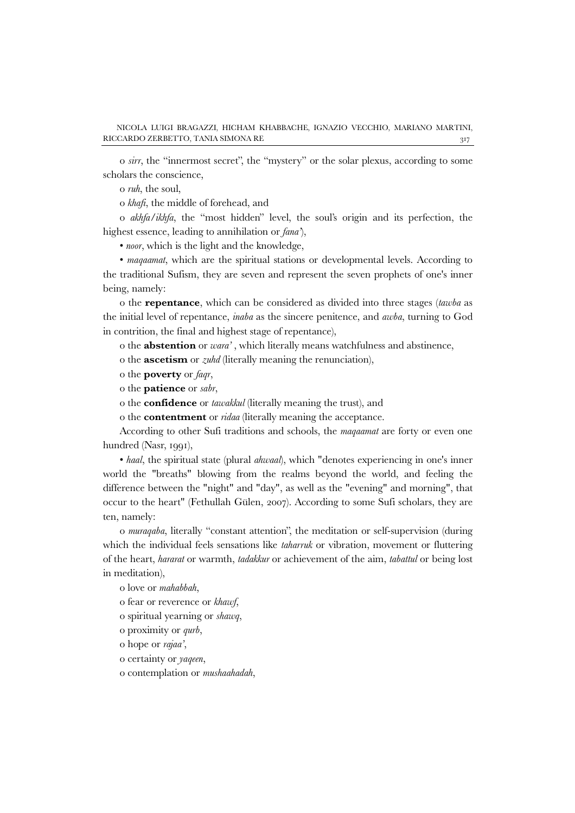o *sirr*, the "innermost secret", the "mystery" or the solar plexus, according to some scholars the conscience,

o *ruh*, the soul,

o *khafi*, the middle of forehead, and

o *akhfa/ikhfa*, the "most hidden" level, the soul's origin and its perfection, the highest essence, leading to annihilation or *fana'*),

• *noor*, which is the light and the knowledge,

• *maqaamat*, which are the spiritual stations or developmental levels. According to the traditional Sufism, they are seven and represent the seven prophets of one's inner being, namely:

o the **repentance**, which can be considered as divided into three stages (*tawba* as the initial level of repentance, *inaba* as the sincere penitence, and *awba*, turning to God in contrition, the final and highest stage of repentance),

o the **abstention** or *wara'* , which literally means watchfulness and abstinence,

o the **ascetism** or *zuhd* (literally meaning the renunciation),

o the **poverty** or *faqr*,

o the **patience** or *sabr*,

o the **confidence** or *tawakkul* (literally meaning the trust), and

o the **contentment** or *ridaa* (literally meaning the acceptance.

According to other Sufi traditions and schools, the *maqaamat* are forty or even one hundred (Nasr, 1991),

• *haal*, the spiritual state (plural *ahwaal*), which "denotes experiencing in one's inner world the "breaths" blowing from the realms beyond the world, and feeling the difference between the "night" and "day", as well as the "evening" and morning", that occur to the heart" (Fethullah Gülen, 2007). According to some Sufi scholars, they are ten, namely:

o *muraqaba*, literally "constant attention", the meditation or self-supervision (during which the individual feels sensations like *taharruk* or vibration, movement or fluttering of the heart, *hararat* or warmth, *tadakkur* or achievement of the aim, *tabattul* or being lost in meditation),

o love or *mahabbah*,

o fear or reverence or *khawf*,

o spiritual yearning or *shawq*,

o proximity or *qurb*,

o hope or *rajaa'*,

o certainty or *yaqeen*,

o contemplation or *mushaahadah*,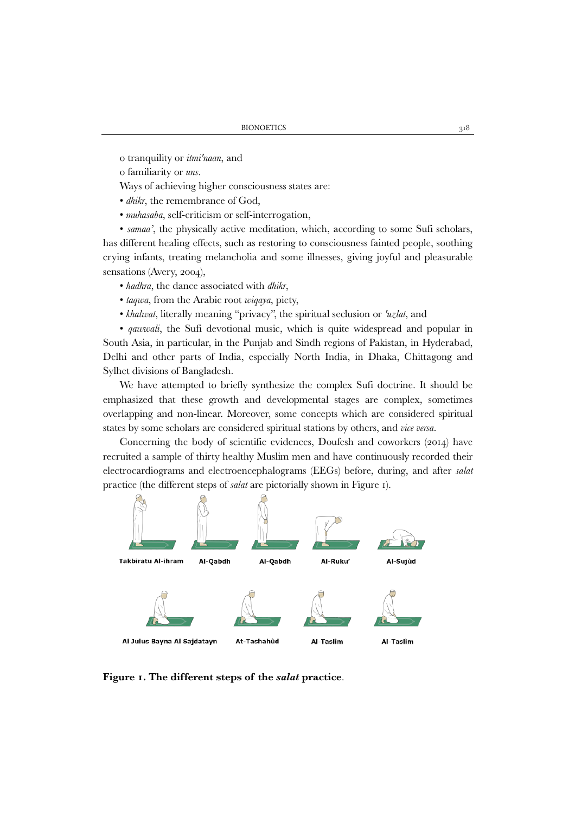o tranquility or *itmi'naan*, and

o familiarity or *uns*.

Ways of achieving higher consciousness states are:

• *dhikr*, the remembrance of God,

• *muhasaba*, self-criticism or self-interrogation,

• *samaa'*, the physically active meditation, which, according to some Sufi scholars, has different healing effects, such as restoring to consciousness fainted people, soothing crying infants, treating melancholia and some illnesses, giving joyful and pleasurable sensations (Avery, 2004),

- *hadhra*, the dance associated with *dhikr*,
- *taqwa*, from the Arabic root *wiqaya*, piety,
- *khalwat*, literally meaning "privacy", the spiritual seclusion or *'uzlat*, and

• *qawwali*, the Sufi devotional music, which is quite widespread and popular in South Asia, in particular, in the Punjab and Sindh regions of Pakistan, in Hyderabad, Delhi and other parts of India, especially North India, in Dhaka, Chittagong and Sylhet divisions of Bangladesh.

We have attempted to briefly synthesize the complex Sufi doctrine. It should be emphasized that these growth and developmental stages are complex, sometimes overlapping and non-linear. Moreover, some concepts which are considered spiritual states by some scholars are considered spiritual stations by others, and *vice versa*.

Concerning the body of scientific evidences, Doufesh and coworkers (2014) have recruited a sample of thirty healthy Muslim men and have continuously recorded their electrocardiograms and electroencephalograms (EEGs) before, during, and after *salat* practice (the different steps of *salat* are pictorially shown in Figure 1).



**Figure 1. The different steps of the** *salat* **practice**.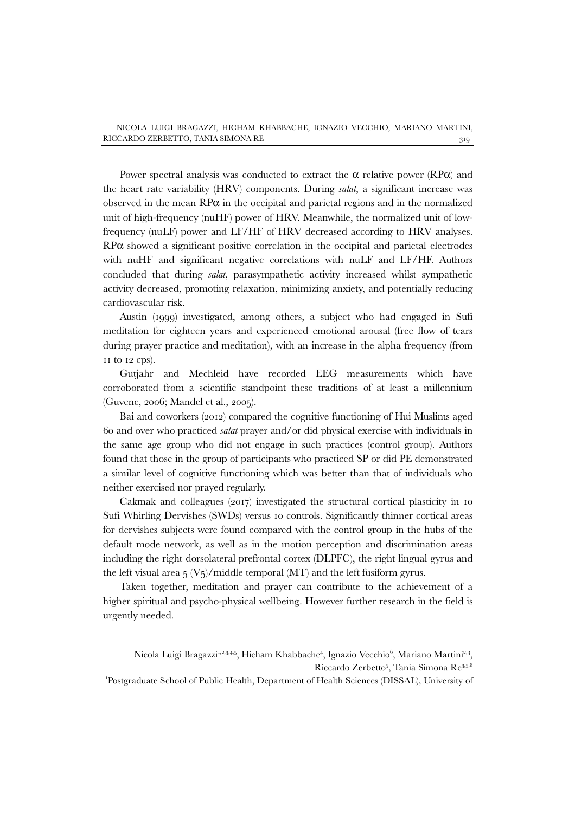Power spectral analysis was conducted to extract the  $\alpha$  relative power (RP $\alpha$ ) and the heart rate variability (HRV) components. During *salat*, a significant increase was observed in the mean  $\mathbb{R}P\alpha$  in the occipital and parietal regions and in the normalized unit of high-frequency (nuHF) power of HRV. Meanwhile, the normalized unit of lowfrequency (nuLF) power and LF/HF of HRV decreased according to HRV analyses. RPα showed a significant positive correlation in the occipital and parietal electrodes with nuHF and significant negative correlations with nuLF and LF/HF. Authors concluded that during *salat*, parasympathetic activity increased whilst sympathetic activity decreased, promoting relaxation, minimizing anxiety, and potentially reducing cardiovascular risk.

Austin (1999) investigated, among others, a subject who had engaged in Sufi meditation for eighteen years and experienced emotional arousal (free flow of tears during prayer practice and meditation), with an increase in the alpha frequency (from 11 to 12 cps).

Gutjahr and Mechleid have recorded EEG measurements which have corroborated from a scientific standpoint these traditions of at least a millennium (Guvenc, 2006; Mandel et al., 2005).

Bai and coworkers (2012) compared the cognitive functioning of Hui Muslims aged 60 and over who practiced *salat* prayer and/or did physical exercise with individuals in the same age group who did not engage in such practices (control group). Authors found that those in the group of participants who practiced SP or did PE demonstrated a similar level of cognitive functioning which was better than that of individuals who neither exercised nor prayed regularly.

Cakmak and colleagues (2017) investigated the structural cortical plasticity in 10 Sufi Whirling Dervishes (SWDs) versus 10 controls. Significantly thinner cortical areas for dervishes subjects were found compared with the control group in the hubs of the default mode network, as well as in the motion perception and discrimination areas including the right dorsolateral prefrontal cortex (DLPFC), the right lingual gyrus and the left visual area  $5 \frac{\text{V}}{5}$ /middle temporal (MT) and the left fusiform gyrus.

Taken together, meditation and prayer can contribute to the achievement of a higher spiritual and psycho-physical wellbeing. However further research in the field is urgently needed.

1 Postgraduate School of Public Health, Department of Health Sciences (DISSAL), University of

Nicola Luigi Bragazzi<sup>1,2,3,4,5</sup>, Hicham Khabbache<sup>4</sup>, Ignazio Vecchio<sup>6</sup>, Mariano Martini<sup>2,3</sup>, Riccardo Zerbetto<sup>5</sup>, Tania Simona Re<sup>3,5,8</sup>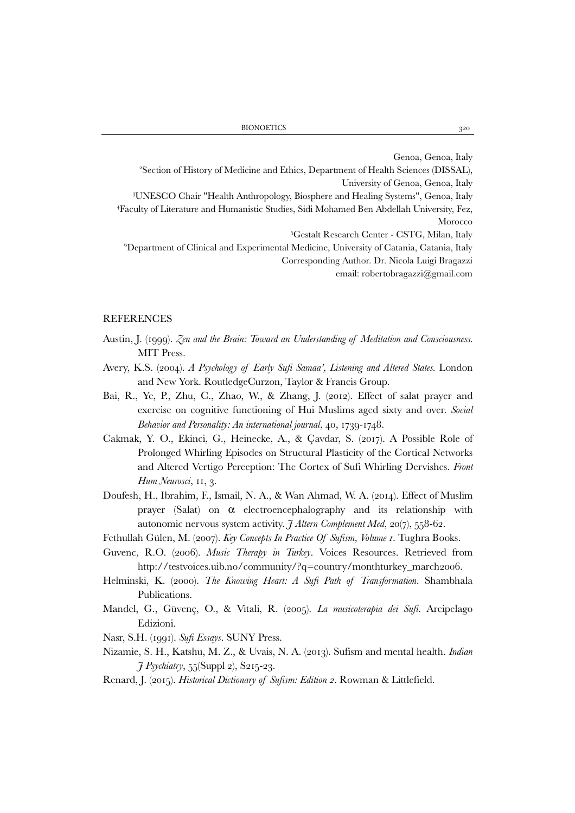Genoa, Genoa, Italy 2 Section of History of Medicine and Ethics, Department of Health Sciences (DISSAL), University of Genoa, Genoa, Italy<br>3I INESCO Chair "Health Anthropology, Biosphere and Healing Systems", Genoa, Italy UNESCO Chair "Health Anthropology, Biosphere and Healing Systems", Genoa, Italy 4 Faculty of Literature and Humanistic Studies, Sidi Mohamed Ben Abdellah University, Fez, Morocco 5 Gestalt Research Center - CSTG, Milan, Italy

 $^6$ Department of Clinical and Experimental Medicine, University of Catania, Catania, Italy Corresponding Author. Dr. Nicola Luigi Bragazzi email: robertobragazzi@gmail.com

## REFERENCES

- Austin, J. (1999). *Zen and the Brain: Toward an Understanding of Meditation and Consciousness.* MIT Press.
- Avery, K.S. (2004). *A Psychology of Early Sufi Samaa', Listening and Altered States.* London and New York. RoutledgeCurzon, Taylor & Francis Group.
- Bai, R., Ye, P., Zhu, C., Zhao, W., & Zhang, J. (2012). Effect of salat prayer and exercise on cognitive functioning of Hui Muslims aged sixty and over. *Social Behavior and Personality: An international journal*, 40, 1739-1748.
- Cakmak, Y. O., Ekinci, G., Heinecke, A., & Çavdar, S. (2017). A Possible Role of Prolonged Whirling Episodes on Structural Plasticity of the Cortical Networks and Altered Vertigo Perception: The Cortex of Sufi Whirling Dervishes. *Front Hum Neurosci*, 11, 3.
- Doufesh, H., Ibrahim, F., Ismail, N. A., & Wan Ahmad, W. A. (2014). Effect of Muslim prayer (Salat) on  $\alpha$  electroencephalography and its relationship with autonomic nervous system activity. *J Altern Complement Med*, 20(7), 558-62.
- Fethullah Gülen, M. (2007). *Key Concepts In Practice Of Sufism, Volume 1*. Tughra Books.
- Guvenc, R.O. (2006). *Music Therapy in Turkey*. Voices Resources. Retrieved from http://testvoices.uib.no/community/?q=country/monthturkey\_march2006.
- Helminski, K. (2000). *The Knowing Heart: A Sufi Path of Transformation*. Shambhala Publications.
- Mandel, G., Güvenç, O., & Vitali, R. (2005). *La musicoterapia dei Sufi*. Arcipelago Edizioni.
- Nasr, S.H. (1991). *Sufi Essays*. SUNY Press.
- Nizamie, S. H., Katshu, M. Z., & Uvais, N. A. (2013). Sufism and mental health. *Indian J Psychiatry*, 55(Suppl 2), S215-23.
- Renard, J. (2015). *Historical Dictionary of Sufism: Edition 2*. Rowman & Littlefield.